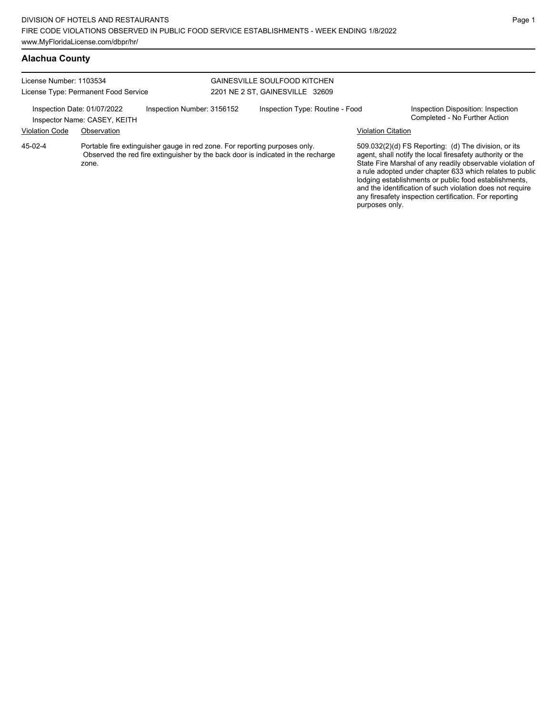#### **Alachua County**

zone.

| License Number: 1103534 | License Type: Permanent Food Service                        |                                                                            | GAINESVILLE SOULFOOD KITCHEN<br>2201 NE 2 ST, GAINESVILLE 32609                  |                           |                                                                                                                   |
|-------------------------|-------------------------------------------------------------|----------------------------------------------------------------------------|----------------------------------------------------------------------------------|---------------------------|-------------------------------------------------------------------------------------------------------------------|
|                         | Inspection Date: 01/07/2022<br>Inspector Name: CASEY, KEITH | Inspection Number: 3156152                                                 | Inspection Type: Routine - Food                                                  |                           | Inspection Disposition: Inspection<br>Completed - No Further Action                                               |
| <b>Violation Code</b>   | Observation                                                 |                                                                            |                                                                                  | <b>Violation Citation</b> |                                                                                                                   |
| 45-02-4                 |                                                             | Portable fire extinguisher gauge in red zone. For reporting purposes only. | Observed the red fire extinguisher by the back door is indicated in the recharge |                           | 509.032(2)(d) FS Reporting: (d) The division, or its<br>agent, shall notify the local firesafety authority or the |

State Fire Marshal of any readily observable violation of a rule adopted under chapter 633 which relates to public lodging establishments or public food establishments, and the identification of such violation does not require any firesafety inspection certification. For reporting purposes only.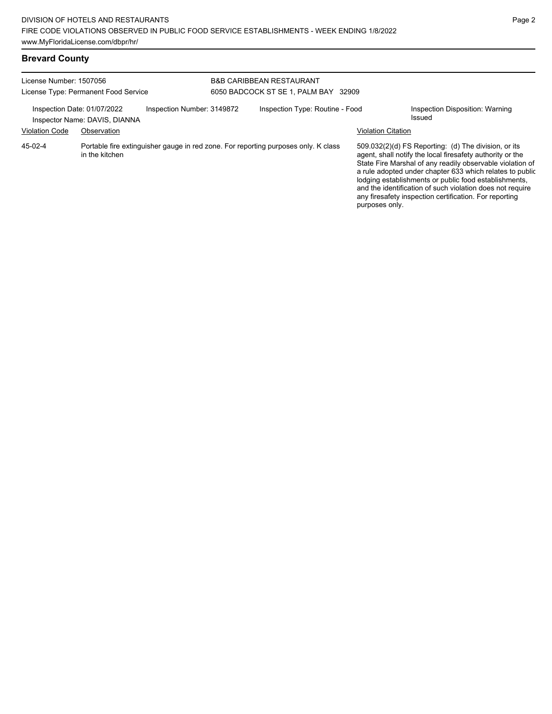| License Number: 1507056                              | License Type: Permanent Food Service                                                                 | <b>B&amp;B CARIBBEAN RESTAURANT</b><br>6050 BADCOCK ST SE 1, PALM BAY 32909 |                                 |                           |                                                                                                                                                                                                                                                                                                                                                                                                                            |
|------------------------------------------------------|------------------------------------------------------------------------------------------------------|-----------------------------------------------------------------------------|---------------------------------|---------------------------|----------------------------------------------------------------------------------------------------------------------------------------------------------------------------------------------------------------------------------------------------------------------------------------------------------------------------------------------------------------------------------------------------------------------------|
| Inspection Date: 01/07/2022<br><b>Violation Code</b> | Inspection Number: 3149872<br>Inspector Name: DAVIS, DIANNA<br>Observation                           |                                                                             | Inspection Type: Routine - Food | <b>Violation Citation</b> | Inspection Disposition: Warning<br>Issued                                                                                                                                                                                                                                                                                                                                                                                  |
| 45-02-4                                              | Portable fire extinguisher gauge in red zone. For reporting purposes only. K class<br>in the kitchen |                                                                             |                                 | purposes only.            | 509.032(2)(d) FS Reporting: (d) The division, or its<br>agent, shall notify the local firesafety authority or the<br>State Fire Marshal of any readily observable violation of<br>a rule adopted under chapter 633 which relates to public<br>lodging establishments or public food establishments,<br>and the identification of such violation does not require<br>any firesafety inspection certification. For reporting |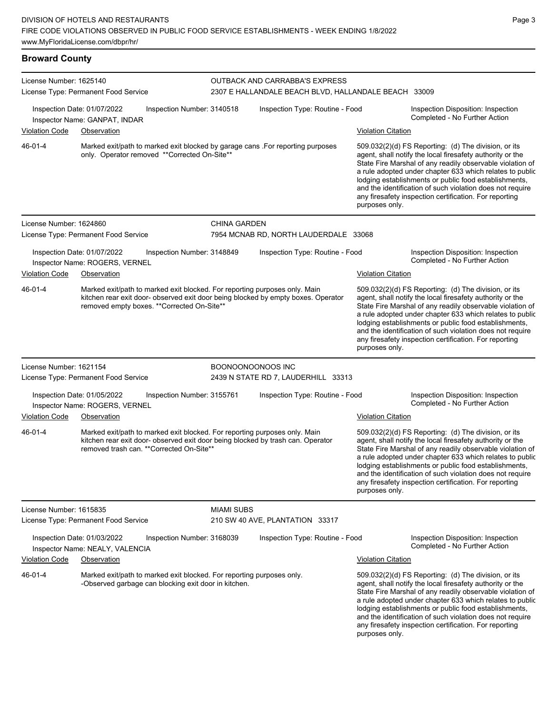| <b>Broward County</b>   |                                                                                                                                                                                                                |                     |                                                                                        |                                                                                                                                                                                                                                                                                                                                                                                                                                              |                                                                                                                                                                                                                                                                                                                                                                                                                            |  |
|-------------------------|----------------------------------------------------------------------------------------------------------------------------------------------------------------------------------------------------------------|---------------------|----------------------------------------------------------------------------------------|----------------------------------------------------------------------------------------------------------------------------------------------------------------------------------------------------------------------------------------------------------------------------------------------------------------------------------------------------------------------------------------------------------------------------------------------|----------------------------------------------------------------------------------------------------------------------------------------------------------------------------------------------------------------------------------------------------------------------------------------------------------------------------------------------------------------------------------------------------------------------------|--|
| License Number: 1625140 | License Type: Permanent Food Service                                                                                                                                                                           |                     | OUTBACK AND CARRABBA'S EXPRESS<br>2307 E HALLANDALE BEACH BLVD, HALLANDALE BEACH 33009 |                                                                                                                                                                                                                                                                                                                                                                                                                                              |                                                                                                                                                                                                                                                                                                                                                                                                                            |  |
|                         | Inspection Date: 01/07/2022<br>Inspection Number: 3140518<br>Inspector Name: GANPAT, INDAR                                                                                                                     |                     | Inspection Type: Routine - Food                                                        |                                                                                                                                                                                                                                                                                                                                                                                                                                              | Inspection Disposition: Inspection<br>Completed - No Further Action                                                                                                                                                                                                                                                                                                                                                        |  |
| <b>Violation Code</b>   | Observation                                                                                                                                                                                                    |                     |                                                                                        | <b>Violation Citation</b>                                                                                                                                                                                                                                                                                                                                                                                                                    |                                                                                                                                                                                                                                                                                                                                                                                                                            |  |
| 46-01-4                 | Marked exit/path to marked exit blocked by garage cans . For reporting purposes<br>only. Operator removed **Corrected On-Site**                                                                                |                     |                                                                                        | purposes only.                                                                                                                                                                                                                                                                                                                                                                                                                               | 509.032(2)(d) FS Reporting: (d) The division, or its<br>agent, shall notify the local firesafety authority or the<br>State Fire Marshal of any readily observable violation of<br>a rule adopted under chapter 633 which relates to public<br>lodging establishments or public food establishments,<br>and the identification of such violation does not require<br>any firesafety inspection certification. For reporting |  |
| License Number: 1624860 |                                                                                                                                                                                                                | <b>CHINA GARDEN</b> |                                                                                        |                                                                                                                                                                                                                                                                                                                                                                                                                                              |                                                                                                                                                                                                                                                                                                                                                                                                                            |  |
|                         | License Type: Permanent Food Service                                                                                                                                                                           |                     | 7954 MCNAB RD, NORTH LAUDERDALE 33068                                                  |                                                                                                                                                                                                                                                                                                                                                                                                                                              |                                                                                                                                                                                                                                                                                                                                                                                                                            |  |
|                         | Inspection Date: 01/07/2022<br>Inspection Number: 3148849<br>Inspector Name: ROGERS, VERNEL                                                                                                                    |                     | Inspection Type: Routine - Food                                                        |                                                                                                                                                                                                                                                                                                                                                                                                                                              | Inspection Disposition: Inspection<br>Completed - No Further Action                                                                                                                                                                                                                                                                                                                                                        |  |
| Violation Code          | Observation                                                                                                                                                                                                    |                     |                                                                                        | <b>Violation Citation</b>                                                                                                                                                                                                                                                                                                                                                                                                                    |                                                                                                                                                                                                                                                                                                                                                                                                                            |  |
| 46-01-4                 | Marked exit/path to marked exit blocked. For reporting purposes only. Main<br>kitchen rear exit door- observed exit door being blocked by empty boxes. Operator<br>removed empty boxes. ** Corrected On-Site** |                     |                                                                                        | 509.032(2)(d) FS Reporting: (d) The division, or its<br>agent, shall notify the local firesafety authority or the<br>State Fire Marshal of any readily observable violation of<br>a rule adopted under chapter 633 which relates to public<br>lodging establishments or public food establishments,<br>and the identification of such violation does not require<br>any firesafety inspection certification. For reporting<br>purposes only. |                                                                                                                                                                                                                                                                                                                                                                                                                            |  |
| License Number: 1621154 |                                                                                                                                                                                                                |                     | <b>BOONOONOONOOS INC</b>                                                               |                                                                                                                                                                                                                                                                                                                                                                                                                                              |                                                                                                                                                                                                                                                                                                                                                                                                                            |  |
|                         | License Type: Permanent Food Service                                                                                                                                                                           |                     | 2439 N STATE RD 7, LAUDERHILL 33313                                                    |                                                                                                                                                                                                                                                                                                                                                                                                                                              |                                                                                                                                                                                                                                                                                                                                                                                                                            |  |
|                         | Inspection Date: 01/05/2022<br>Inspection Number: 3155761<br>Inspector Name: ROGERS, VERNEL                                                                                                                    |                     | Inspection Type: Routine - Food                                                        |                                                                                                                                                                                                                                                                                                                                                                                                                                              | Inspection Disposition: Inspection<br>Completed - No Further Action                                                                                                                                                                                                                                                                                                                                                        |  |
| Violation Code          | Observation                                                                                                                                                                                                    |                     |                                                                                        | <b>Violation Citation</b>                                                                                                                                                                                                                                                                                                                                                                                                                    |                                                                                                                                                                                                                                                                                                                                                                                                                            |  |
| 46-01-4                 | Marked exit/path to marked exit blocked. For reporting purposes only. Main<br>kitchen rear exit door- observed exit door being blocked by trash can. Operator<br>removed trash can. ** Corrected On-Site**     |                     |                                                                                        | purposes only.                                                                                                                                                                                                                                                                                                                                                                                                                               | 509.032(2)(d) FS Reporting: (d) The division, or its<br>agent, shall notify the local firesafety authority or the<br>State Fire Marshal of any readily observable violation of<br>a rule adopted under chapter 633 which relates to public<br>lodging establishments or public food establishments,<br>and the identification of such violation does not require<br>any firesafety inspection certification. For reporting |  |
| License Number: 1615835 |                                                                                                                                                                                                                | <b>MIAMI SUBS</b>   |                                                                                        |                                                                                                                                                                                                                                                                                                                                                                                                                                              |                                                                                                                                                                                                                                                                                                                                                                                                                            |  |
|                         | License Type: Permanent Food Service                                                                                                                                                                           |                     | 210 SW 40 AVE, PLANTATION 33317                                                        |                                                                                                                                                                                                                                                                                                                                                                                                                                              |                                                                                                                                                                                                                                                                                                                                                                                                                            |  |
|                         | Inspection Date: 01/03/2022<br>Inspection Number: 3168039<br>Inspector Name: NEALY, VALENCIA                                                                                                                   |                     | Inspection Type: Routine - Food                                                        |                                                                                                                                                                                                                                                                                                                                                                                                                                              | Inspection Disposition: Inspection<br>Completed - No Further Action                                                                                                                                                                                                                                                                                                                                                        |  |
| <b>Violation Code</b>   | Observation                                                                                                                                                                                                    |                     |                                                                                        | <b>Violation Citation</b>                                                                                                                                                                                                                                                                                                                                                                                                                    |                                                                                                                                                                                                                                                                                                                                                                                                                            |  |
| 46-01-4                 | Marked exit/path to marked exit blocked. For reporting purposes only.<br>-Observed garbage can blocking exit door in kitchen.                                                                                  |                     |                                                                                        |                                                                                                                                                                                                                                                                                                                                                                                                                                              | 509.032(2)(d) FS Reporting: (d) The division, or its<br>agent, shall notify the local firesafety authority or the<br>State Fire Marshal of any readily observable violation of<br>a rule adopted under chapter 633 which relates to public<br>lodging establishments or public food establishments,<br>and the identification of such violation does not require                                                           |  |

any firesafety inspection certification. For reporting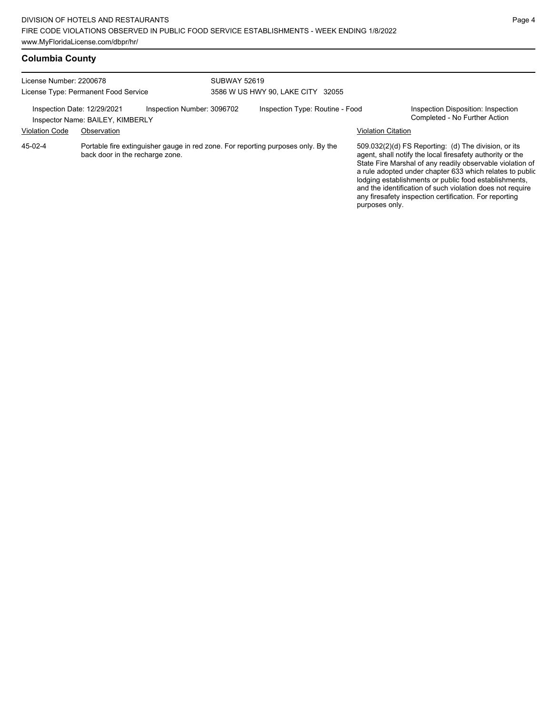| License Number: 2200678<br>License Type: Permanent Food Service                                                                 |                                  | <b>SUBWAY 52619</b><br>3586 W US HWY 90, LAKE CITY 32055 |                                 |                           |                                                                                                                                                                                                                                                                                                                                                                                                                            |
|---------------------------------------------------------------------------------------------------------------------------------|----------------------------------|----------------------------------------------------------|---------------------------------|---------------------------|----------------------------------------------------------------------------------------------------------------------------------------------------------------------------------------------------------------------------------------------------------------------------------------------------------------------------------------------------------------------------------------------------------------------------|
| Inspection Date: 12/29/2021                                                                                                     | Inspector Name: BAILEY, KIMBERLY | Inspection Number: 3096702                               | Inspection Type: Routine - Food |                           | Inspection Disposition: Inspection<br>Completed - No Further Action                                                                                                                                                                                                                                                                                                                                                        |
| <b>Violation Code</b>                                                                                                           | Observation                      |                                                          |                                 | <b>Violation Citation</b> |                                                                                                                                                                                                                                                                                                                                                                                                                            |
| Portable fire extinguisher gauge in red zone. For reporting purposes only. By the<br>45-02-4<br>back door in the recharge zone. |                                  |                                                          |                                 | purposes only.            | 509.032(2)(d) FS Reporting: (d) The division, or its<br>agent, shall notify the local firesafety authority or the<br>State Fire Marshal of any readily observable violation of<br>a rule adopted under chapter 633 which relates to public<br>lodging establishments or public food establishments,<br>and the identification of such violation does not require<br>any firesafety inspection certification. For reporting |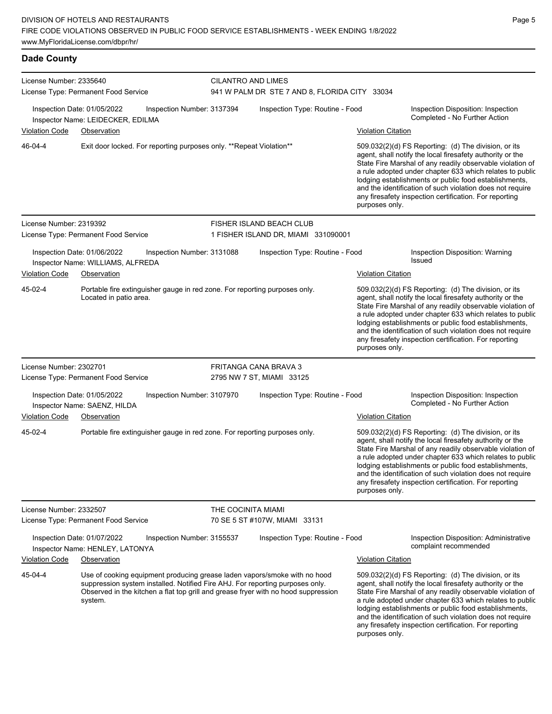| <b>Dade County</b>      |                                                                                                                                                                                                                                                             |                    |                                                                            |                           |                                                                                                                                                                                                                                                                                                                                                                                                                            |
|-------------------------|-------------------------------------------------------------------------------------------------------------------------------------------------------------------------------------------------------------------------------------------------------------|--------------------|----------------------------------------------------------------------------|---------------------------|----------------------------------------------------------------------------------------------------------------------------------------------------------------------------------------------------------------------------------------------------------------------------------------------------------------------------------------------------------------------------------------------------------------------------|
| License Number: 2335640 | License Type: Permanent Food Service                                                                                                                                                                                                                        |                    | <b>CILANTRO AND LIMES</b><br>941 W PALM DR STE 7 AND 8, FLORIDA CITY 33034 |                           |                                                                                                                                                                                                                                                                                                                                                                                                                            |
|                         | Inspection Date: 01/05/2022<br>Inspection Number: 3137394<br>Inspector Name: LEIDECKER, EDILMA                                                                                                                                                              |                    | Inspection Type: Routine - Food                                            |                           | Inspection Disposition: Inspection<br>Completed - No Further Action                                                                                                                                                                                                                                                                                                                                                        |
| <b>Violation Code</b>   | Observation                                                                                                                                                                                                                                                 |                    |                                                                            | <b>Violation Citation</b> |                                                                                                                                                                                                                                                                                                                                                                                                                            |
| 46-04-4                 | Exit door locked. For reporting purposes only. **Repeat Violation**                                                                                                                                                                                         |                    |                                                                            | purposes only.            | 509.032(2)(d) FS Reporting: (d) The division, or its<br>agent, shall notify the local firesafety authority or the<br>State Fire Marshal of any readily observable violation of<br>a rule adopted under chapter 633 which relates to public<br>lodging establishments or public food establishments,<br>and the identification of such violation does not require<br>any firesafety inspection certification. For reporting |
| License Number: 2319392 |                                                                                                                                                                                                                                                             |                    | FISHER ISLAND BEACH CLUB                                                   |                           |                                                                                                                                                                                                                                                                                                                                                                                                                            |
|                         | License Type: Permanent Food Service                                                                                                                                                                                                                        |                    | 1 FISHER ISLAND DR, MIAMI 331090001                                        |                           |                                                                                                                                                                                                                                                                                                                                                                                                                            |
|                         | Inspection Date: 01/06/2022<br>Inspection Number: 3131088<br>Inspector Name: WILLIAMS, ALFREDA                                                                                                                                                              |                    | Inspection Type: Routine - Food                                            |                           | Inspection Disposition: Warning<br>Issued                                                                                                                                                                                                                                                                                                                                                                                  |
| <b>Violation Code</b>   | Observation                                                                                                                                                                                                                                                 |                    |                                                                            | <b>Violation Citation</b> |                                                                                                                                                                                                                                                                                                                                                                                                                            |
| 45-02-4                 | Portable fire extinguisher gauge in red zone. For reporting purposes only.<br>Located in patio area.                                                                                                                                                        |                    |                                                                            | purposes only.            | 509.032(2)(d) FS Reporting: (d) The division, or its<br>agent, shall notify the local firesafety authority or the<br>State Fire Marshal of any readily observable violation of<br>a rule adopted under chapter 633 which relates to public<br>lodging establishments or public food establishments,<br>and the identification of such violation does not require<br>any firesafety inspection certification. For reporting |
| License Number: 2302701 |                                                                                                                                                                                                                                                             |                    | FRITANGA CANA BRAVA 3                                                      |                           |                                                                                                                                                                                                                                                                                                                                                                                                                            |
|                         | License Type: Permanent Food Service                                                                                                                                                                                                                        |                    | 2795 NW 7 ST, MIAMI 33125                                                  |                           |                                                                                                                                                                                                                                                                                                                                                                                                                            |
|                         | Inspection Date: 01/05/2022<br>Inspection Number: 3107970<br>Inspector Name: SAENZ, HILDA                                                                                                                                                                   |                    | Inspection Type: Routine - Food                                            |                           | Inspection Disposition: Inspection<br>Completed - No Further Action                                                                                                                                                                                                                                                                                                                                                        |
| <b>Violation Code</b>   | Observation                                                                                                                                                                                                                                                 |                    |                                                                            | <b>Violation Citation</b> |                                                                                                                                                                                                                                                                                                                                                                                                                            |
| 45-02-4                 | Portable fire extinguisher gauge in red zone. For reporting purposes only.                                                                                                                                                                                  |                    |                                                                            | purposes only.            | 509.032(2)(d) FS Reporting: (d) The division, or its<br>agent, shall notify the local firesafety authority or the<br>State Fire Marshal of any readily observable violation of<br>a rule adopted under chapter 633 which relates to public<br>lodging establishments or public food establishments,<br>and the identification of such violation does not require<br>any firesafety inspection certification. For reporting |
| License Number: 2332507 |                                                                                                                                                                                                                                                             | THE COCINITA MIAMI |                                                                            |                           |                                                                                                                                                                                                                                                                                                                                                                                                                            |
|                         | License Type: Permanent Food Service                                                                                                                                                                                                                        |                    | 70 SE 5 ST #107W, MIAMI 33131                                              |                           |                                                                                                                                                                                                                                                                                                                                                                                                                            |
|                         | Inspection Date: 01/07/2022<br>Inspection Number: 3155537<br>Inspector Name: HENLEY, LATONYA                                                                                                                                                                |                    | Inspection Type: Routine - Food                                            |                           | Inspection Disposition: Administrative<br>complaint recommended                                                                                                                                                                                                                                                                                                                                                            |
| <b>Violation Code</b>   | Observation                                                                                                                                                                                                                                                 |                    |                                                                            | <b>Violation Citation</b> |                                                                                                                                                                                                                                                                                                                                                                                                                            |
| 45-04-4                 | Use of cooking equipment producing grease laden vapors/smoke with no hood<br>suppression system installed. Notified Fire AHJ. For reporting purposes only.<br>Observed in the kitchen a flat top grill and grease fryer with no hood suppression<br>system. |                    |                                                                            |                           | 509.032(2)(d) FS Reporting: (d) The division, or its<br>agent, shall notify the local firesafety authority or the<br>State Fire Marshal of any readily observable violation of<br>a rule adopted under chapter 633 which relates to public                                                                                                                                                                                 |

a rule adopted under chapter 633 which relates to public lodging establishments or public food establishments, and the identification of such violation does not require any firesafety inspection certification. For reporting purposes only.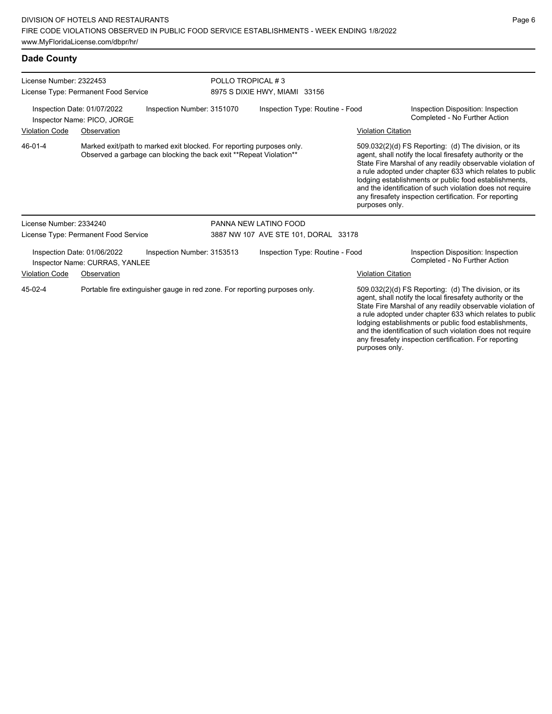## **Dade County**

| License Number: 2322453 |                                                               |                                                                                                                                              |                               | POLLO TROPICAL #3                    |  |                           |                                                                                                                                                                                                                                                                                                                                                                                                                            |  |  |
|-------------------------|---------------------------------------------------------------|----------------------------------------------------------------------------------------------------------------------------------------------|-------------------------------|--------------------------------------|--|---------------------------|----------------------------------------------------------------------------------------------------------------------------------------------------------------------------------------------------------------------------------------------------------------------------------------------------------------------------------------------------------------------------------------------------------------------------|--|--|
|                         | License Type: Permanent Food Service                          |                                                                                                                                              | 8975 S DIXIE HWY, MIAMI 33156 |                                      |  |                           |                                                                                                                                                                                                                                                                                                                                                                                                                            |  |  |
|                         | Inspection Date: 01/07/2022<br>Inspector Name: PICO, JORGE    | Inspection Number: 3151070                                                                                                                   |                               | Inspection Type: Routine - Food      |  |                           | Inspection Disposition: Inspection<br>Completed - No Further Action                                                                                                                                                                                                                                                                                                                                                        |  |  |
| <b>Violation Code</b>   | Observation                                                   |                                                                                                                                              |                               |                                      |  | <b>Violation Citation</b> |                                                                                                                                                                                                                                                                                                                                                                                                                            |  |  |
| 46-01-4                 |                                                               | Marked exit/path to marked exit blocked. For reporting purposes only.<br>Observed a garbage can blocking the back exit ** Repeat Violation** |                               |                                      |  | purposes only.            | 509.032(2)(d) FS Reporting: (d) The division, or its<br>agent, shall notify the local firesafety authority or the<br>State Fire Marshal of any readily observable violation of<br>a rule adopted under chapter 633 which relates to public<br>lodging establishments or public food establishments,<br>and the identification of such violation does not require<br>any firesafety inspection certification. For reporting |  |  |
| License Number: 2334240 |                                                               |                                                                                                                                              |                               | PANNA NEW LATINO FOOD                |  |                           |                                                                                                                                                                                                                                                                                                                                                                                                                            |  |  |
|                         | License Type: Permanent Food Service                          |                                                                                                                                              |                               | 3887 NW 107 AVE STE 101, DORAL 33178 |  |                           |                                                                                                                                                                                                                                                                                                                                                                                                                            |  |  |
|                         | Inspection Date: 01/06/2022<br>Inspector Name: CURRAS, YANLEE | Inspection Number: 3153513                                                                                                                   |                               | Inspection Type: Routine - Food      |  |                           | Inspection Disposition: Inspection<br>Completed - No Further Action                                                                                                                                                                                                                                                                                                                                                        |  |  |
| <b>Violation Code</b>   | Observation                                                   |                                                                                                                                              |                               |                                      |  | <b>Violation Citation</b> |                                                                                                                                                                                                                                                                                                                                                                                                                            |  |  |
| 45-02-4                 |                                                               | Portable fire extinguisher gauge in red zone. For reporting purposes only.                                                                   |                               |                                      |  |                           | 509.032(2)(d) FS Reporting: (d) The division, or its<br>agent, shall notify the local firesafety authority or the<br>State Fire Marshal of any readily observable violation of<br>a rule adopted under chapter 633 which relates to public<br>lodging establishments or public food establishments,<br>and the identification of such violation does not require<br>any firesafety inspection certification. For reporting |  |  |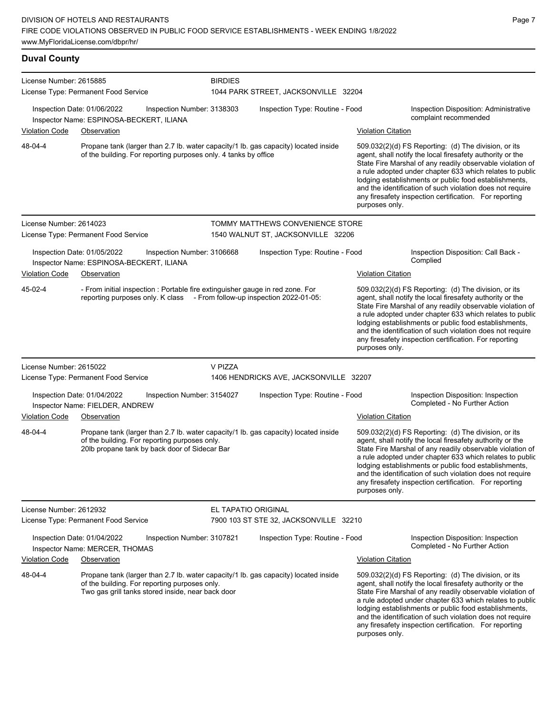**Duval County**

| License Number: 2615885     | License Type: Permanent Food Service                                                                                                                                                      | <b>BIRDIES</b>             | 1044 PARK STREET, JACKSONVILLE 32204   |                           |                                                                                                                                                                                                                                                                                                                                                                                                                              |
|-----------------------------|-------------------------------------------------------------------------------------------------------------------------------------------------------------------------------------------|----------------------------|----------------------------------------|---------------------------|------------------------------------------------------------------------------------------------------------------------------------------------------------------------------------------------------------------------------------------------------------------------------------------------------------------------------------------------------------------------------------------------------------------------------|
|                             |                                                                                                                                                                                           |                            |                                        |                           |                                                                                                                                                                                                                                                                                                                                                                                                                              |
| Inspection Date: 01/06/2022 | Inspector Name: ESPINOSA-BECKERT, ILIANA                                                                                                                                                  | Inspection Number: 3138303 | Inspection Type: Routine - Food        |                           | <b>Inspection Disposition: Administrative</b><br>complaint recommended                                                                                                                                                                                                                                                                                                                                                       |
| Violation Code              | Observation                                                                                                                                                                               |                            |                                        | <b>Violation Citation</b> |                                                                                                                                                                                                                                                                                                                                                                                                                              |
| 48-04-4                     | Propane tank (larger than 2.7 lb. water capacity/1 lb. gas capacity) located inside<br>of the building. For reporting purposes only. 4 tanks by office                                    |                            |                                        | purposes only.            | $509.032(2)(d)$ FS Reporting: (d) The division, or its<br>agent, shall notify the local firesafety authority or the<br>State Fire Marshal of any readily observable violation of<br>a rule adopted under chapter 633 which relates to public<br>lodging establishments or public food establishments,<br>and the identification of such violation does not require<br>any firesafety inspection certification. For reporting |
| License Number: 2614023     |                                                                                                                                                                                           |                            | TOMMY MATTHEWS CONVENIENCE STORE       |                           |                                                                                                                                                                                                                                                                                                                                                                                                                              |
|                             | License Type: Permanent Food Service                                                                                                                                                      |                            | 1540 WALNUT ST, JACKSONVILLE 32206     |                           |                                                                                                                                                                                                                                                                                                                                                                                                                              |
|                             | Inspection Date: 01/05/2022<br>Inspector Name: ESPINOSA-BECKERT, ILIANA                                                                                                                   | Inspection Number: 3106668 | Inspection Type: Routine - Food        |                           | Inspection Disposition: Call Back -<br>Complied                                                                                                                                                                                                                                                                                                                                                                              |
| <b>Violation Code</b>       | Observation                                                                                                                                                                               |                            |                                        | <b>Violation Citation</b> |                                                                                                                                                                                                                                                                                                                                                                                                                              |
| 45-02-4                     | - From initial inspection : Portable fire extinguisher gauge in red zone. For<br>reporting purposes only. K class - From follow-up inspection 2022-01-05:                                 |                            |                                        | purposes only.            | 509.032(2)(d) FS Reporting: (d) The division, or its<br>agent, shall notify the local firesafety authority or the<br>State Fire Marshal of any readily observable violation of<br>a rule adopted under chapter 633 which relates to public<br>lodging establishments or public food establishments,<br>and the identification of such violation does not require<br>any firesafety inspection certification. For reporting   |
| License Number: 2615022     |                                                                                                                                                                                           | V PIZZA                    |                                        |                           |                                                                                                                                                                                                                                                                                                                                                                                                                              |
|                             | License Type: Permanent Food Service                                                                                                                                                      |                            | 1406 HENDRICKS AVE, JACKSONVILLE 32207 |                           |                                                                                                                                                                                                                                                                                                                                                                                                                              |
| Inspection Date: 01/04/2022 | Inspector Name: FIELDER, ANDREW                                                                                                                                                           | Inspection Number: 3154027 | Inspection Type: Routine - Food        |                           | Inspection Disposition: Inspection<br>Completed - No Further Action                                                                                                                                                                                                                                                                                                                                                          |
| <b>Violation Code</b>       | Observation                                                                                                                                                                               |                            |                                        | <b>Violation Citation</b> |                                                                                                                                                                                                                                                                                                                                                                                                                              |
| 48-04-4                     | Propane tank (larger than 2.7 lb. water capacity/1 lb. gas capacity) located inside<br>of the building. For reporting purposes only.<br>20lb propane tank by back door of Sidecar Bar     |                            |                                        | purposes only.            | 509.032(2)(d) FS Reporting: (d) The division, or its<br>agent, shall notify the local firesafety authority or the<br>State Fire Marshal of any readily observable violation of<br>a rule adopted under chapter 633 which relates to public<br>lodging establishments or public food establishments,<br>and the identification of such violation does not require<br>any firesafety inspection certification. For reporting   |
| License Number: 2612932     | License Type: Permanent Food Service                                                                                                                                                      | EL TAPATIO ORIGINAL        | 7900 103 ST STE 32, JACKSONVILLE 32210 |                           |                                                                                                                                                                                                                                                                                                                                                                                                                              |
|                             | Inspection Date: 01/04/2022<br>Inspector Name: MERCER, THOMAS                                                                                                                             | Inspection Number: 3107821 | Inspection Type: Routine - Food        |                           | Inspection Disposition: Inspection<br>Completed - No Further Action                                                                                                                                                                                                                                                                                                                                                          |
| <b>Violation Code</b>       | Observation                                                                                                                                                                               |                            |                                        | <b>Violation Citation</b> |                                                                                                                                                                                                                                                                                                                                                                                                                              |
| 48-04-4                     | Propane tank (larger than 2.7 lb. water capacity/1 lb. gas capacity) located inside<br>of the building. For reporting purposes only.<br>Two gas grill tanks stored inside, near back door |                            |                                        | purposes only.            | 509.032(2)(d) FS Reporting: (d) The division, or its<br>agent, shall notify the local firesafety authority or the<br>State Fire Marshal of any readily observable violation of<br>a rule adopted under chapter 633 which relates to public<br>lodging establishments or public food establishments,<br>and the identification of such violation does not require<br>any firesafety inspection certification. For reporting   |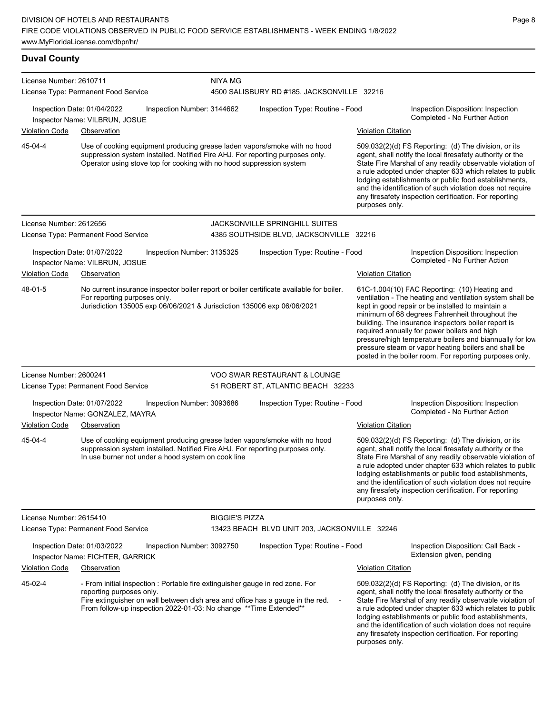**Duval County** License Number: 2610711 License Type: Permanent Food Service NIYA MG 4500 SALISBURY RD #185, JACKSONVILLE 32216 Inspection Date: 01/04/2022 Inspection Number: 3144662 Inspection Type: Routine - Food Inspection Disposition: Inspection Completed - No Further Action Inspector Name: VILBRUN, JOSUE Violation Code Observation Violation Citation Use of cooking equipment producing grease laden vapors/smoke with no hood suppression system installed. Notified Fire AHJ. For reporting purposes only. Operator using stove top for cooking with no hood suppression system 509.032(2)(d) FS Reporting: (d) The division, or its agent, shall notify the local firesafety authority or the State Fire Marshal of any readily observable violation of a rule adopted under chapter 633 which relates to public lodging establishments or public food establishments, and the identification of such violation does not require any firesafety inspection certification. For reporting purposes only. 45-04-4 License Number: 2612656 License Type: Permanent Food Service JACKSONVILLE SPRINGHILL SUITES 4385 SOUTHSIDE BLVD, JACKSONVILLE 32216 Inspection Date: 01/07/2022 Inspection Number: 3135325 Inspection Type: Routine - Food Inspection Disposition: Inspection Inspector Name: VILBRUN, JOSUE **Action** Inspector Name: VILBRUN, JOSUE Violation Code Observation Violation Citation No current insurance inspector boiler report or boiler certificate available for boiler. For reporting purposes only. Jurisdiction 135005 exp 06/06/2021 & Jurisdiction 135006 exp 06/06/2021 61C-1.004(10) FAC Reporting: (10) Heating and ventilation - The heating and ventilation system shall be kept in good repair or be installed to maintain a minimum of 68 degrees Fahrenheit throughout the building. The insurance inspectors boiler report is required annually for power boilers and high pressure/high temperature boilers and biannually for low pressure steam or vapor heating boilers and shall be posted in the boiler room. For reporting purposes only. 48-01-5 License Number: 2600241 License Type: Permanent Food Service VOO SWAR RESTAURANT & LOUNGE 51 ROBERT ST, ATLANTIC BEACH 32233 Inspection Date: 01/07/2022 Inspection Number: 3093686 Inspection Type: Routine - Food Inspection Disposition: Inspection Inspector Name: GONZALEZ, MAYRA Violation Code Observation Violation Citation Use of cooking equipment producing grease laden vapors/smoke with no hood suppression system installed. Notified Fire AHJ. For reporting purposes only. In use burner not under a hood system on cook line 509.032(2)(d) FS Reporting: (d) The division, or its agent, shall notify the local firesafety authority or the State Fire Marshal of any readily observable violation of a rule adopted under chapter 633 which relates to public lodging establishments or public food establishments, and the identification of such violation does not require any firesafety inspection certification. For reporting purposes only. 45-04-4 License Number: 2615410 License Type: Permanent Food Service BIGGIE'S PIZZA 13423 BEACH BLVD UNIT 203, JACKSONVILLE 32246 Inspection Date: 01/03/2022 Inspection Number: 3092750 Inspection Type: Routine - Food Inspection Disposition: Call Back - Extension given, pending Inspector Name: FICHTER, GARRICK Violation Code Observation **Violation Citation** Violation Citation Citation - From initial inspection : Portable fire extinguisher gauge in red zone. For reporting purposes only. Fire extinguisher on wall between dish area and office has a gauge in the red. From follow-up inspection 2022-01-03: No change \*\*Time Extended\*\* 509.032(2)(d) FS Reporting: (d) The division, or its agent, shall notify the local firesafety authority or the State Fire Marshal of any readily observable violation of a rule adopted under chapter 633 which relates to public lodging establishments or public food establishments, 45-02-4

Page 8

and the identification of such violation does not require any firesafety inspection certification. For reporting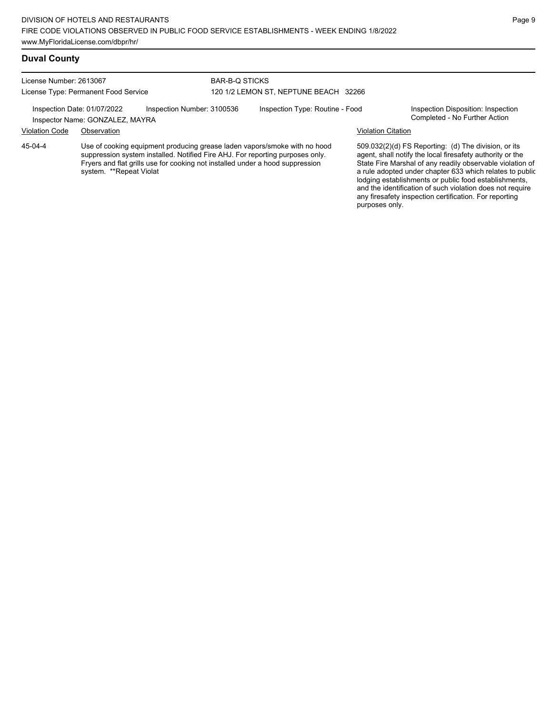#### **Duval County**

License Number: 2613067 License Type: Permanent Food Service

#### BAR-B-Q STICKS 120 1/2 LEMON ST, NEPTUNE BEACH 32266

Inspection Date: 01/07/2022 Inspection Number: 3100536 Inspection Type: Routine - Food Inspection Disposition: Inspection<br>Inspector Name: GONZALEZ MAYRA

Inspector Name: GONZALEZ, MAYRA

Violation Code Observation Violation Citation

Use of cooking equipment producing grease laden vapors/smoke with no hood suppression system installed. Notified Fire AHJ. For reporting purposes only. Fryers and flat grills use for cooking not installed under a hood suppression system. \*\*Repeat Violat 45-04-4

509.032(2)(d) FS Reporting: (d) The division, or its agent, shall notify the local firesafety authority or the State Fire Marshal of any readily observable violation of a rule adopted under chapter 633 which relates to public lodging establishments or public food establishments, and the identification of such violation does not require any firesafety inspection certification. For reporting purposes only.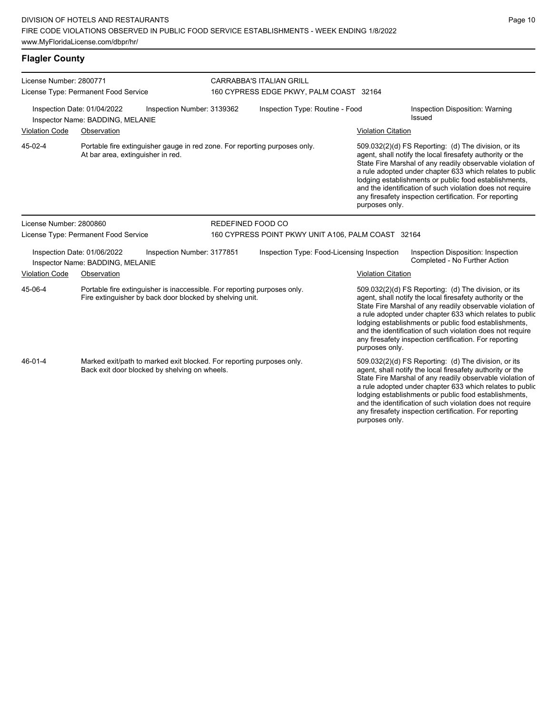**Flagler County**

License Number: 2800771 License Type: Permanent Food Service CARRABBA'S ITALIAN GRILL 160 CYPRESS EDGE PKWY, PALM COAST 32164 Inspection Date: 01/04/2022 Inspection Number: 3139362 Inspection Type: Routine - Food Inspection Disposition: Warning Issued Inspector Name: BADDING, MELANIE Violation Code Observation Violation Citation Portable fire extinguisher gauge in red zone. For reporting purposes only. At bar area, extinguisher in red. 509.032(2)(d) FS Reporting: (d) The division, or its agent, shall notify the local firesafety authority or the State Fire Marshal of any readily observable violation of a rule adopted under chapter 633 which relates to public lodging establishments or public food establishments, and the identification of such violation does not require any firesafety inspection certification. For reporting purposes only. 45-02-4 License Number: 2800860 License Type: Permanent Food Service REDEFINED FOOD CO 160 CYPRESS POINT PKWY UNIT A106, PALM COAST 32164 Inspection Date: 01/06/2022 Inspection Number: 3177851 Inspection Type: Food-Licensing Inspection Inspection Disposition: Inspection Inspector Name: BADDING, MELANIE Violation Code Observation Violation Citation Portable fire extinguisher is inaccessible. For reporting purposes only. Fire extinguisher by back door blocked by shelving unit. 509.032(2)(d) FS Reporting: (d) The division, or its agent, shall notify the local firesafety authority or the State Fire Marshal of any readily observable violation of a rule adopted under chapter 633 which relates to public lodging establishments or public food establishments, and the identification of such violation does not require any firesafety inspection certification. For reporting purposes only. 45-06-4 Marked exit/path to marked exit blocked. For reporting purposes only. Back exit door blocked by shelving on wheels. 509.032(2)(d) FS Reporting: (d) The division, or its agent, shall notify the local firesafety authority or the State Fire Marshal of any readily observable violation of a rule adopted under chapter 633 which relates to public lodging establishments or public food establishments, and the identification of such violation does not require any firesafety inspection certification. For reporting 46-01-4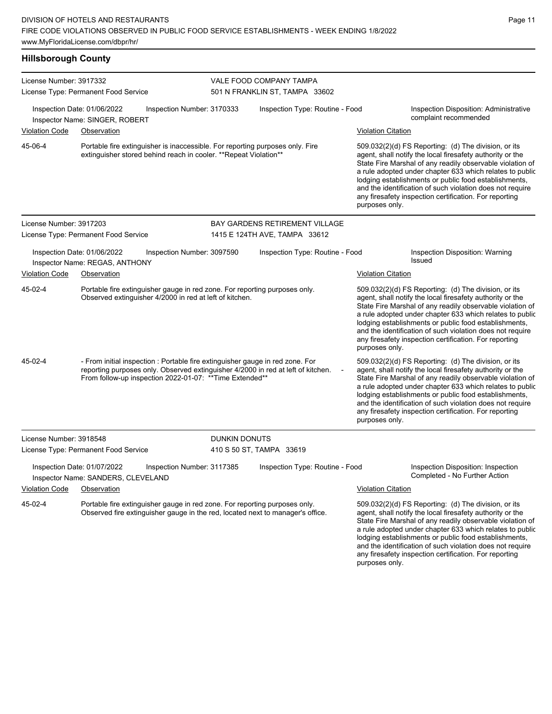| <b>Hillsborough County</b> |                                                                                                                                                                                                                               |                            |                                                           |                           |                                                                                                                                                                                                                                                                                                                                                                                                                            |
|----------------------------|-------------------------------------------------------------------------------------------------------------------------------------------------------------------------------------------------------------------------------|----------------------------|-----------------------------------------------------------|---------------------------|----------------------------------------------------------------------------------------------------------------------------------------------------------------------------------------------------------------------------------------------------------------------------------------------------------------------------------------------------------------------------------------------------------------------------|
| License Number: 3917332    | License Type: Permanent Food Service                                                                                                                                                                                          |                            | VALE FOOD COMPANY TAMPA<br>501 N FRANKLIN ST, TAMPA 33602 |                           |                                                                                                                                                                                                                                                                                                                                                                                                                            |
|                            | Inspection Date: 01/06/2022<br>Inspector Name: SINGER, ROBERT                                                                                                                                                                 | Inspection Number: 3170333 | Inspection Type: Routine - Food                           |                           | Inspection Disposition: Administrative<br>complaint recommended                                                                                                                                                                                                                                                                                                                                                            |
| <b>Violation Code</b>      | Observation                                                                                                                                                                                                                   |                            |                                                           | <b>Violation Citation</b> |                                                                                                                                                                                                                                                                                                                                                                                                                            |
| 45-06-4                    | Portable fire extinguisher is inaccessible. For reporting purposes only. Fire<br>extinguisher stored behind reach in cooler. ** Repeat Violation**                                                                            |                            |                                                           | purposes only.            | 509.032(2)(d) FS Reporting: (d) The division, or its<br>agent, shall notify the local firesafety authority or the<br>State Fire Marshal of any readily observable violation of<br>a rule adopted under chapter 633 which relates to public<br>lodging establishments or public food establishments,<br>and the identification of such violation does not require<br>any firesafety inspection certification. For reporting |
| License Number: 3917203    |                                                                                                                                                                                                                               |                            | <b>BAY GARDENS RETIREMENT VILLAGE</b>                     |                           |                                                                                                                                                                                                                                                                                                                                                                                                                            |
|                            | License Type: Permanent Food Service                                                                                                                                                                                          |                            | 1415 E 124TH AVE, TAMPA 33612                             |                           |                                                                                                                                                                                                                                                                                                                                                                                                                            |
|                            | Inspection Date: 01/06/2022<br>Inspector Name: REGAS, ANTHONY                                                                                                                                                                 | Inspection Number: 3097590 | Inspection Type: Routine - Food                           |                           | Inspection Disposition: Warning<br>Issued                                                                                                                                                                                                                                                                                                                                                                                  |
| <b>Violation Code</b>      | Observation                                                                                                                                                                                                                   |                            |                                                           | <b>Violation Citation</b> |                                                                                                                                                                                                                                                                                                                                                                                                                            |
| 45-02-4                    | Portable fire extinguisher gauge in red zone. For reporting purposes only.<br>Observed extinguisher 4/2000 in red at left of kitchen.                                                                                         |                            |                                                           | purposes only.            | 509.032(2)(d) FS Reporting: (d) The division, or its<br>agent, shall notify the local firesafety authority or the<br>State Fire Marshal of any readily observable violation of<br>a rule adopted under chapter 633 which relates to public<br>lodging establishments or public food establishments,<br>and the identification of such violation does not require<br>any firesafety inspection certification. For reporting |
| 45-02-4                    | - From initial inspection : Portable fire extinguisher gauge in red zone. For<br>reporting purposes only. Observed extinguisher 4/2000 in red at left of kitchen.<br>From follow-up inspection 2022-01-07: ** Time Extended** |                            |                                                           | purposes only.            | 509.032(2)(d) FS Reporting: (d) The division, or its<br>agent, shall notify the local firesafety authority or the<br>State Fire Marshal of any readily observable violation of<br>a rule adopted under chapter 633 which relates to public<br>lodging establishments or public food establishments,<br>and the identification of such violation does not require<br>any firesafety inspection certification. For reporting |
| License Number: 3918548    |                                                                                                                                                                                                                               | DUNKIN DONUTS              |                                                           |                           |                                                                                                                                                                                                                                                                                                                                                                                                                            |
|                            | License Type: Permanent Food Service                                                                                                                                                                                          |                            | 410 S 50 ST, TAMPA 33619                                  |                           |                                                                                                                                                                                                                                                                                                                                                                                                                            |
|                            | Inspection Date: 01/07/2022<br>Inspector Name: SANDERS, CLEVELAND                                                                                                                                                             | Inspection Number: 3117385 | Inspection Type: Routine - Food                           |                           | Inspection Disposition: Inspection<br>Completed - No Further Action                                                                                                                                                                                                                                                                                                                                                        |
| <b>Violation Code</b>      | Observation                                                                                                                                                                                                                   |                            |                                                           | <b>Violation Citation</b> |                                                                                                                                                                                                                                                                                                                                                                                                                            |
| 45-02-4                    | Portable fire extinguisher gauge in red zone. For reporting purposes only.<br>Observed fire extinguisher gauge in the red, located next to manager's office.                                                                  |                            |                                                           | purposes only.            | 509.032(2)(d) FS Reporting: (d) The division, or its<br>agent, shall notify the local firesafety authority or the<br>State Fire Marshal of any readily observable violation of<br>a rule adopted under chapter 633 which relates to public<br>lodging establishments or public food establishments,<br>and the identification of such violation does not require<br>any firesafety inspection certification. For reporting |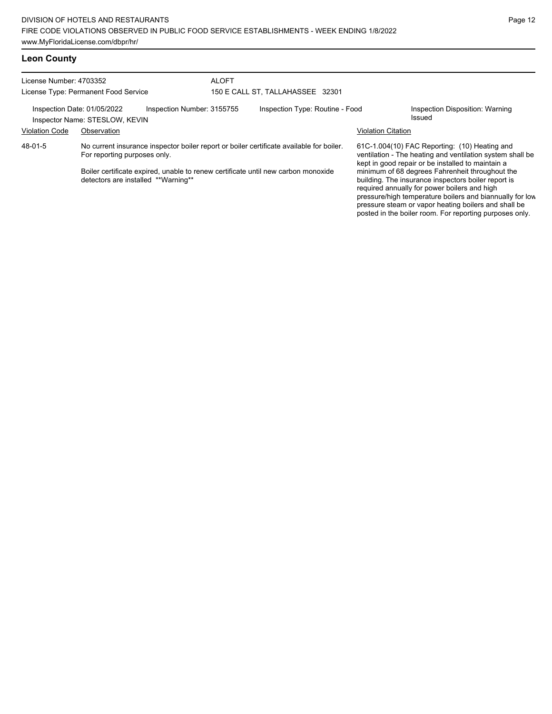| License Number: 4703352                 |                                                               |                                                                                                                                                                               | <b>ALOFT</b>                     |                                                                                                                                                                                                                    |                           |                                                                                                     |  |
|-----------------------------------------|---------------------------------------------------------------|-------------------------------------------------------------------------------------------------------------------------------------------------------------------------------|----------------------------------|--------------------------------------------------------------------------------------------------------------------------------------------------------------------------------------------------------------------|---------------------------|-----------------------------------------------------------------------------------------------------|--|
| License Type: Permanent Food Service    |                                                               |                                                                                                                                                                               | 150 E CALL ST, TALLAHASSEE 32301 |                                                                                                                                                                                                                    |                           |                                                                                                     |  |
|                                         | Inspection Date: 01/05/2022<br>Inspector Name: STESLOW, KEVIN | Inspection Number: 3155755                                                                                                                                                    |                                  | Inspection Type: Routine - Food                                                                                                                                                                                    |                           | Inspection Disposition: Warning<br>Issued                                                           |  |
| Violation Code                          | Observation                                                   |                                                                                                                                                                               |                                  |                                                                                                                                                                                                                    | <b>Violation Citation</b> |                                                                                                     |  |
| 48-01-5<br>For reporting purposes only. |                                                               | No current insurance inspector boiler report or boiler certificate available for boiler.<br>Boiler certificate expired, unable to renew certificate until new carbon monoxide |                                  | 61C-1.004(10) FAC Reporting: (10) Heating and<br>ventilation - The heating and ventilation system shall be<br>kept in good repair or be installed to maintain a<br>minimum of 68 degrees Fahrenheit throughout the |                           |                                                                                                     |  |
|                                         | detectors are installed **Warning**                           |                                                                                                                                                                               |                                  |                                                                                                                                                                                                                    |                           | building. The insurance inspectors boiler report is<br>required annually for power boilers and high |  |

pressure/high temperature boilers and biannually for low pressure steam or vapor heating boilers and shall be posted in the boiler room. For reporting purposes only.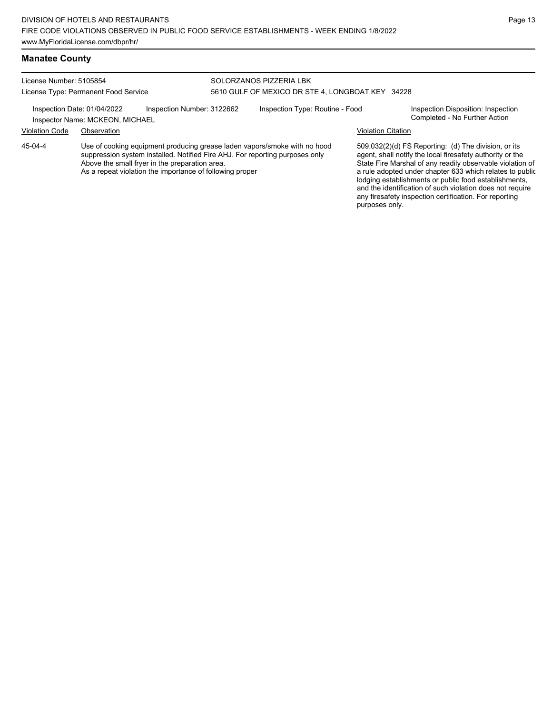## **Manatee County**

| License Number: 5105854              |                                                                | SOLORZANOS PIZZERIA LBK                          |                                                                                                                                                           |                           |                                                                                                                                                                             |  |
|--------------------------------------|----------------------------------------------------------------|--------------------------------------------------|-----------------------------------------------------------------------------------------------------------------------------------------------------------|---------------------------|-----------------------------------------------------------------------------------------------------------------------------------------------------------------------------|--|
| License Type: Permanent Food Service |                                                                | 5610 GULF OF MEXICO DR STE 4. LONGBOAT KEY 34228 |                                                                                                                                                           |                           |                                                                                                                                                                             |  |
|                                      | Inspection Date: 01/04/2022<br>Inspector Name: MCKEON, MICHAEL | Inspection Number: 3122662                       | Inspection Type: Routine - Food                                                                                                                           |                           | Inspection Disposition: Inspection<br>Completed - No Further Action                                                                                                         |  |
| <b>Violation Code</b>                | Observation                                                    |                                                  |                                                                                                                                                           | <b>Violation Citation</b> |                                                                                                                                                                             |  |
| 45-04-4                              |                                                                | Above the small fryer in the preparation area.   | Use of cooking equipment producing grease laden vapors/smoke with no hood<br>suppression system installed. Notified Fire AHJ. For reporting purposes only |                           | 509.032(2)(d) FS Reporting: (d) The division, or its<br>agent, shall notify the local firesafety authority or the<br>State Fire Marshal of any readily observable violation |  |

As a repeat violation the importance of following proper

State Fire Marshal of any readily observable violation of a rule adopted under chapter 633 which relates to public lodging establishments or public food establishments, and the identification of such violation does not require any firesafety inspection certification. For reporting purposes only.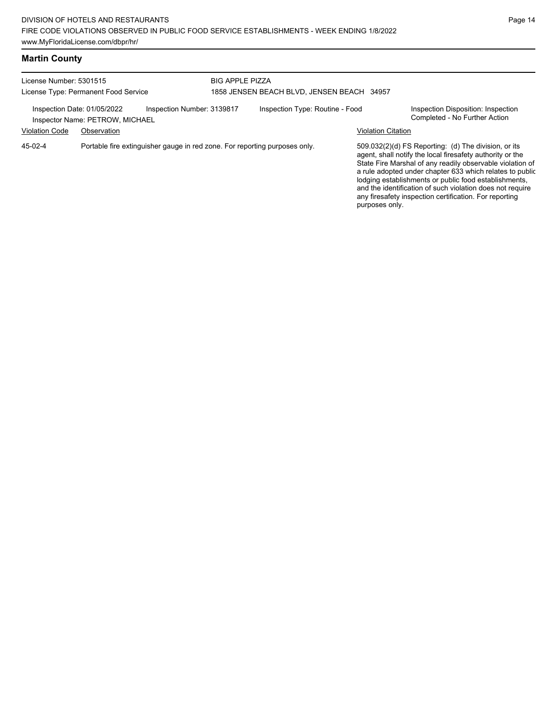# **Martin County**

| License Number: 5301515<br>License Type: Permanent Food Service                       |                                 | <b>BIG APPLE PIZZA</b><br>1858 JENSEN BEACH BLVD, JENSEN BEACH 34957 |  |                                 |                           |                                                                                                                                                                                                                                                                                                                                                                                                                            |
|---------------------------------------------------------------------------------------|---------------------------------|----------------------------------------------------------------------|--|---------------------------------|---------------------------|----------------------------------------------------------------------------------------------------------------------------------------------------------------------------------------------------------------------------------------------------------------------------------------------------------------------------------------------------------------------------------------------------------------------------|
| Inspection Date: 01/05/2022                                                           | Inspector Name: PETROW, MICHAEL | Inspection Number: 3139817                                           |  | Inspection Type: Routine - Food |                           | Inspection Disposition: Inspection<br>Completed - No Further Action                                                                                                                                                                                                                                                                                                                                                        |
| <b>Violation Code</b>                                                                 | Observation                     |                                                                      |  |                                 | <b>Violation Citation</b> |                                                                                                                                                                                                                                                                                                                                                                                                                            |
| Portable fire extinguisher gauge in red zone. For reporting purposes only.<br>45-02-4 |                                 |                                                                      |  |                                 | purposes only.            | 509.032(2)(d) FS Reporting: (d) The division, or its<br>agent, shall notify the local firesafety authority or the<br>State Fire Marshal of any readily observable violation of<br>a rule adopted under chapter 633 which relates to public<br>lodging establishments or public food establishments,<br>and the identification of such violation does not require<br>any firesafety inspection certification. For reporting |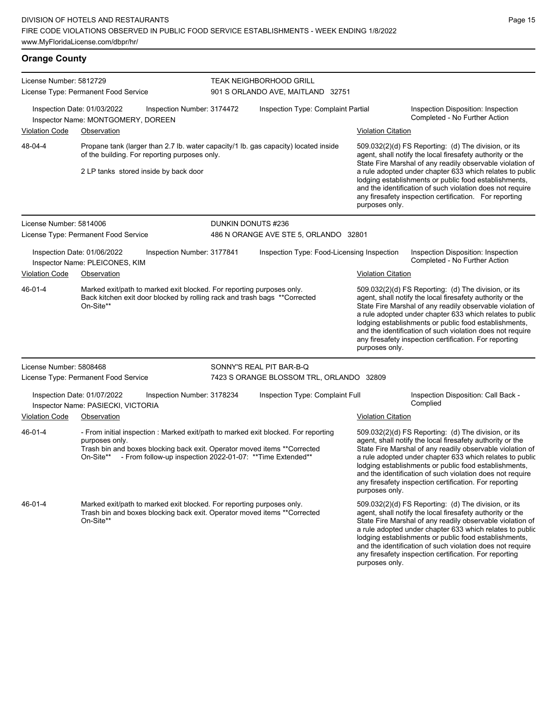| License Number: 5812729<br>License Type: Permanent Food Service                                   |                                                                                                                                                                                                |                                                            | <b>TEAK NEIGHBORHOOD GRILL</b>                                                      | 901 S ORLANDO AVE, MAITLAND 32751          |                                                                                                                                                                                                                                                                                                     |                                                                                                                                                                                                                                                                                                                                                                                                                            |
|---------------------------------------------------------------------------------------------------|------------------------------------------------------------------------------------------------------------------------------------------------------------------------------------------------|------------------------------------------------------------|-------------------------------------------------------------------------------------|--------------------------------------------|-----------------------------------------------------------------------------------------------------------------------------------------------------------------------------------------------------------------------------------------------------------------------------------------------------|----------------------------------------------------------------------------------------------------------------------------------------------------------------------------------------------------------------------------------------------------------------------------------------------------------------------------------------------------------------------------------------------------------------------------|
|                                                                                                   | Inspection Date: 01/03/2022<br>Inspector Name: MONTGOMERY, DOREEN                                                                                                                              | Inspection Number: 3174472                                 |                                                                                     | Inspection Type: Complaint Partial         |                                                                                                                                                                                                                                                                                                     | Inspection Disposition: Inspection<br>Completed - No Further Action                                                                                                                                                                                                                                                                                                                                                        |
| <b>Violation Code</b>                                                                             | Observation                                                                                                                                                                                    |                                                            |                                                                                     |                                            | <b>Violation Citation</b>                                                                                                                                                                                                                                                                           |                                                                                                                                                                                                                                                                                                                                                                                                                            |
| 48-04-4<br>of the building. For reporting purposes only.<br>2 LP tanks stored inside by back door |                                                                                                                                                                                                |                                                            | Propane tank (larger than 2.7 lb. water capacity/1 lb. gas capacity) located inside |                                            | 509.032(2)(d) FS Reporting: (d) The division, or its<br>agent, shall notify the local firesafety authority or the<br>State Fire Marshal of any readily observable violation of<br>a rule adopted under chapter 633 which relates to public<br>lodging establishments or public food establishments, |                                                                                                                                                                                                                                                                                                                                                                                                                            |
|                                                                                                   |                                                                                                                                                                                                |                                                            |                                                                                     |                                            | purposes only.                                                                                                                                                                                                                                                                                      | and the identification of such violation does not require<br>any firesafety inspection certification. For reporting                                                                                                                                                                                                                                                                                                        |
| License Number: 5814006                                                                           | License Type: Permanent Food Service                                                                                                                                                           |                                                            | DUNKIN DONUTS #236                                                                  | 486 N ORANGE AVE STE 5, ORLANDO 32801      |                                                                                                                                                                                                                                                                                                     |                                                                                                                                                                                                                                                                                                                                                                                                                            |
|                                                                                                   | Inspection Date: 01/06/2022<br>Inspector Name: PLEICONES, KIM                                                                                                                                  | Inspection Number: 3177841                                 |                                                                                     | Inspection Type: Food-Licensing Inspection |                                                                                                                                                                                                                                                                                                     | Inspection Disposition: Inspection<br>Completed - No Further Action                                                                                                                                                                                                                                                                                                                                                        |
| <b>Violation Code</b>                                                                             | Observation                                                                                                                                                                                    |                                                            |                                                                                     |                                            | <b>Violation Citation</b>                                                                                                                                                                                                                                                                           |                                                                                                                                                                                                                                                                                                                                                                                                                            |
| 46-01-4                                                                                           | Marked exit/path to marked exit blocked. For reporting purposes only.<br>Back kitchen exit door blocked by rolling rack and trash bags ** Corrected<br>On-Site**                               |                                                            |                                                                                     |                                            | purposes only.                                                                                                                                                                                                                                                                                      | 509.032(2)(d) FS Reporting: (d) The division, or its<br>agent, shall notify the local firesafety authority or the<br>State Fire Marshal of any readily observable violation of<br>a rule adopted under chapter 633 which relates to public<br>lodging establishments or public food establishments,<br>and the identification of such violation does not require<br>any firesafety inspection certification. For reporting |
| License Number: 5808468                                                                           |                                                                                                                                                                                                |                                                            | SONNY'S REAL PIT BAR-B-Q                                                            |                                            |                                                                                                                                                                                                                                                                                                     |                                                                                                                                                                                                                                                                                                                                                                                                                            |
|                                                                                                   | License Type: Permanent Food Service                                                                                                                                                           |                                                            |                                                                                     | 7423 S ORANGE BLOSSOM TRL, ORLANDO 32809   |                                                                                                                                                                                                                                                                                                     |                                                                                                                                                                                                                                                                                                                                                                                                                            |
|                                                                                                   | Inspection Date: 01/07/2022<br>Inspector Name: PASIECKI, VICTORIA                                                                                                                              | Inspection Number: 3178234                                 |                                                                                     | Inspection Type: Complaint Full            |                                                                                                                                                                                                                                                                                                     | Inspection Disposition: Call Back -<br>Complied                                                                                                                                                                                                                                                                                                                                                                            |
| <b>Violation Code</b>                                                                             | Observation                                                                                                                                                                                    |                                                            |                                                                                     |                                            | <b>Violation Citation</b>                                                                                                                                                                                                                                                                           |                                                                                                                                                                                                                                                                                                                                                                                                                            |
| 46-01-4                                                                                           | - From initial inspection : Marked exit/path to marked exit blocked. For reporting<br>purposes only.<br>Trash bin and boxes blocking back exit. Operator moved items ** Corrected<br>On-Site** | - From follow-up inspection 2022-01-07: ** Time Extended** |                                                                                     |                                            | purposes only.                                                                                                                                                                                                                                                                                      | 509.032(2)(d) FS Reporting: (d) The division, or its<br>agent, shall notify the local firesafety authority or the<br>State Fire Marshal of any readily observable violation of<br>a rule adopted under chapter 633 which relates to public<br>lodging establishments or public food establishments,<br>and the identification of such violation does not require<br>any firesafety inspection certification. For reporting |
| 46-01-4                                                                                           | Marked exit/path to marked exit blocked. For reporting purposes only.<br>Trash bin and boxes blocking back exit. Operator moved items ** Corrected<br>On-Site**                                |                                                            |                                                                                     |                                            | purposes only.                                                                                                                                                                                                                                                                                      | 509.032(2)(d) FS Reporting: (d) The division, or its<br>agent, shall notify the local firesafety authority or the<br>State Fire Marshal of any readily observable violation of<br>a rule adopted under chapter 633 which relates to public<br>lodging establishments or public food establishments,<br>and the identification of such violation does not require<br>any firesafety inspection certification. For reporting |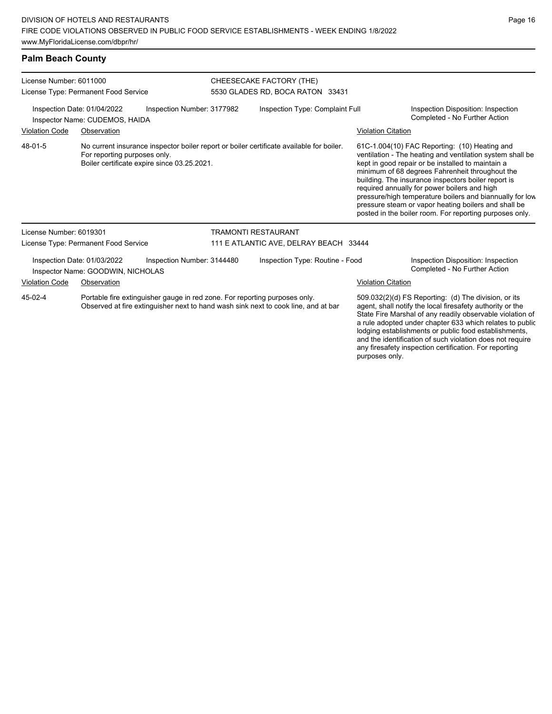## **Palm Beach County**

| License Number: 6011000<br>License Type: Permanent Food Service                                |                                                                                                                                                                         |  |                                        | CHEESECAKE FACTORY (THE)<br>5530 GLADES RD, BOCA RATON 33431                                                                                                                                                                                                                                                                                                     |                                                                                                                                                                                                                                                                                                                                                                                                                                                                                                          |                                                                     |  |
|------------------------------------------------------------------------------------------------|-------------------------------------------------------------------------------------------------------------------------------------------------------------------------|--|----------------------------------------|------------------------------------------------------------------------------------------------------------------------------------------------------------------------------------------------------------------------------------------------------------------------------------------------------------------------------------------------------------------|----------------------------------------------------------------------------------------------------------------------------------------------------------------------------------------------------------------------------------------------------------------------------------------------------------------------------------------------------------------------------------------------------------------------------------------------------------------------------------------------------------|---------------------------------------------------------------------|--|
| Inspection Date: 01/04/2022<br>Inspection Number: 3177982<br>Inspector Name: CUDEMOS, HAIDA    |                                                                                                                                                                         |  |                                        | Inspection Type: Complaint Full                                                                                                                                                                                                                                                                                                                                  |                                                                                                                                                                                                                                                                                                                                                                                                                                                                                                          | Inspection Disposition: Inspection<br>Completed - No Further Action |  |
| <b>Violation Code</b>                                                                          | Observation                                                                                                                                                             |  |                                        |                                                                                                                                                                                                                                                                                                                                                                  | <b>Violation Citation</b>                                                                                                                                                                                                                                                                                                                                                                                                                                                                                |                                                                     |  |
| 48-01-5                                                                                        | No current insurance inspector boiler report or boiler certificate available for boiler.<br>For reporting purposes only.<br>Boiler certificate expire since 03.25.2021. |  |                                        |                                                                                                                                                                                                                                                                                                                                                                  | 61C-1.004(10) FAC Reporting: (10) Heating and<br>ventilation - The heating and ventilation system shall be<br>kept in good repair or be installed to maintain a<br>minimum of 68 degrees Fahrenheit throughout the<br>building. The insurance inspectors boiler report is<br>required annually for power boilers and high<br>pressure/high temperature boilers and biannually for low<br>pressure steam or vapor heating boilers and shall be<br>posted in the boiler room. For reporting purposes only. |                                                                     |  |
| License Number: 6019301                                                                        |                                                                                                                                                                         |  | <b>TRAMONTI RESTAURANT</b>             |                                                                                                                                                                                                                                                                                                                                                                  |                                                                                                                                                                                                                                                                                                                                                                                                                                                                                                          |                                                                     |  |
| License Type: Permanent Food Service                                                           |                                                                                                                                                                         |  | 111 E ATLANTIC AVE, DELRAY BEACH 33444 |                                                                                                                                                                                                                                                                                                                                                                  |                                                                                                                                                                                                                                                                                                                                                                                                                                                                                                          |                                                                     |  |
| Inspection Date: 01/03/2022<br>Inspection Number: 3144480<br>Inspector Name: GOODWIN, NICHOLAS |                                                                                                                                                                         |  | Inspection Type: Routine - Food        |                                                                                                                                                                                                                                                                                                                                                                  |                                                                                                                                                                                                                                                                                                                                                                                                                                                                                                          | Inspection Disposition: Inspection<br>Completed - No Further Action |  |
| <b>Violation Code</b>                                                                          | Observation                                                                                                                                                             |  |                                        |                                                                                                                                                                                                                                                                                                                                                                  | <b>Violation Citation</b>                                                                                                                                                                                                                                                                                                                                                                                                                                                                                |                                                                     |  |
| 45-02-4                                                                                        | Portable fire extinguisher gauge in red zone. For reporting purposes only.<br>Observed at fire extinguisher next to hand wash sink next to cook line, and at bar        |  |                                        | 509.032(2)(d) FS Reporting: (d) The division, or its<br>agent, shall notify the local firesafety authority or the<br>State Fire Marshal of any readily observable violation of<br>a rule adopted under chapter 633 which relates to public<br>lodging establishments or public food establishments,<br>and the identification of such violation does not require |                                                                                                                                                                                                                                                                                                                                                                                                                                                                                                          |                                                                     |  |

any firesafety inspection certification. For reporting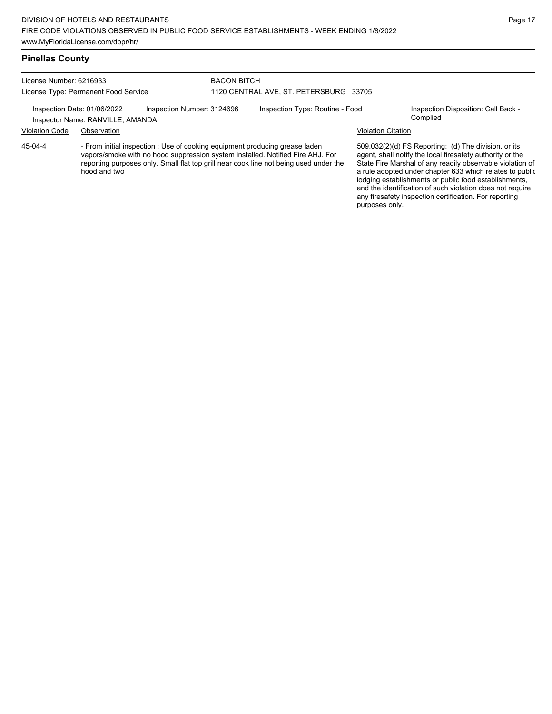## **Pinellas County**

| License Number: 6216933<br>License Type: Permanent Food Service |                                                                                                                                                               |  | <b>BACON BITCH</b><br>1120 CENTRAL AVE, ST. PETERSBURG 33705 |  |                           |                                                                                                                   |  |
|-----------------------------------------------------------------|---------------------------------------------------------------------------------------------------------------------------------------------------------------|--|--------------------------------------------------------------|--|---------------------------|-------------------------------------------------------------------------------------------------------------------|--|
|                                                                 |                                                                                                                                                               |  |                                                              |  |                           |                                                                                                                   |  |
|                                                                 | Inspector Name: RANVILLE, AMANDA                                                                                                                              |  |                                                              |  |                           | Complied                                                                                                          |  |
| <b>Violation Code</b>                                           | Observation                                                                                                                                                   |  |                                                              |  | <b>Violation Citation</b> |                                                                                                                   |  |
| 45-04-4                                                         | - From initial inspection : Use of cooking equipment producing grease laden<br>vapors/smoke with no hood suppression system installed. Notified Fire AHJ. For |  |                                                              |  |                           | 509.032(2)(d) FS Reporting: (d) The division, or its<br>agent, shall notify the local firesafety authority or the |  |

reporting purposes only. Small flat top grill near cook line not being used under the hood and two

509.032(2)(d) FS Reporting: (d) The division, or its agent, shall notify the local firesafety authority or the State Fire Marshal of any readily observable violation of a rule adopted under chapter 633 which relates to public lodging establishments or public food establishments, and the identification of such violation does not require any firesafety inspection certification. For reporting purposes only.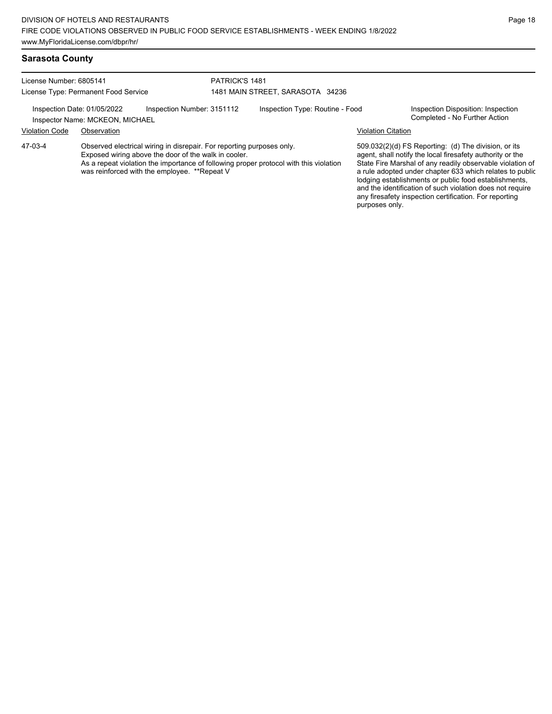#### **Sarasota County**

License Number: 6805141 License Type: Permanent Food Service PATRICK'S 1481 1481 MAIN STREET, SARASOTA 34236

Inspection Date: 01/05/2022 Inspection Number: 3151112 Inspection Type: Routine - Food Inspection Disposition: Inspection<br>Inspector Name: MCKFON\_MICHAFI Inspector Name: MCKEON, MICHAEL

#### Violation Code Observation Violation Citation

Observed electrical wiring in disrepair. For reporting purposes only. Exposed wiring above the door of the walk in cooler. As a repeat violation the importance of following proper protocol with this violation was reinforced with the employee. \*\*Repeat V 47-03-4

509.032(2)(d) FS Reporting: (d) The division, or its agent, shall notify the local firesafety authority or the State Fire Marshal of any readily observable violation of a rule adopted under chapter 633 which relates to public lodging establishments or public food establishments, and the identification of such violation does not require any firesafety inspection certification. For reporting purposes only.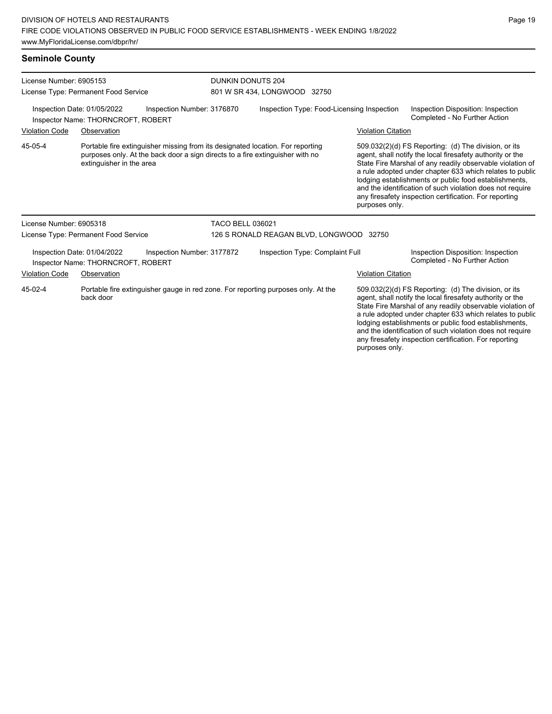# **Seminole County**

| License Number: 6905153<br>License Type: Permanent Food Service                                           |                                      |                                                                                                                                                                 | <b>DUNKIN DONUTS 204</b><br>801 W SR 434, LONGWOOD 32750 |                                                                                                                                                                                                                                                                                                                                                                                                                                              |                                                                     |                                                                                                                                                                                                                                                                                                                                                                                                                            |  |
|-----------------------------------------------------------------------------------------------------------|--------------------------------------|-----------------------------------------------------------------------------------------------------------------------------------------------------------------|----------------------------------------------------------|----------------------------------------------------------------------------------------------------------------------------------------------------------------------------------------------------------------------------------------------------------------------------------------------------------------------------------------------------------------------------------------------------------------------------------------------|---------------------------------------------------------------------|----------------------------------------------------------------------------------------------------------------------------------------------------------------------------------------------------------------------------------------------------------------------------------------------------------------------------------------------------------------------------------------------------------------------------|--|
| Inspection Number: 3176870<br>Inspection Date: 01/05/2022<br>Inspector Name: THORNCROFT, ROBERT           |                                      |                                                                                                                                                                 | Inspection Type: Food-Licensing Inspection               |                                                                                                                                                                                                                                                                                                                                                                                                                                              |                                                                     | Inspection Disposition: Inspection<br>Completed - No Further Action                                                                                                                                                                                                                                                                                                                                                        |  |
| <b>Violation Code</b>                                                                                     | Observation                          |                                                                                                                                                                 |                                                          |                                                                                                                                                                                                                                                                                                                                                                                                                                              | <b>Violation Citation</b>                                           |                                                                                                                                                                                                                                                                                                                                                                                                                            |  |
| 45-05-4                                                                                                   | extinguisher in the area             | Portable fire extinguisher missing from its designated location. For reporting<br>purposes only. At the back door a sign directs to a fire extinguisher with no |                                                          |                                                                                                                                                                                                                                                                                                                                                                                                                                              | purposes only.                                                      | 509.032(2)(d) FS Reporting: (d) The division, or its<br>agent, shall notify the local firesafety authority or the<br>State Fire Marshal of any readily observable violation of<br>a rule adopted under chapter 633 which relates to public<br>lodging establishments or public food establishments,<br>and the identification of such violation does not require<br>any firesafety inspection certification. For reporting |  |
| License Number: 6905318                                                                                   |                                      |                                                                                                                                                                 | <b>TACO BELL 036021</b>                                  |                                                                                                                                                                                                                                                                                                                                                                                                                                              |                                                                     |                                                                                                                                                                                                                                                                                                                                                                                                                            |  |
|                                                                                                           | License Type: Permanent Food Service |                                                                                                                                                                 |                                                          | 126 S RONALD REAGAN BLVD, LONGWOOD 32750                                                                                                                                                                                                                                                                                                                                                                                                     |                                                                     |                                                                                                                                                                                                                                                                                                                                                                                                                            |  |
| Inspection Date: 01/04/2022<br>Inspection Number: 3177872<br>Inspector Name: THORNCROFT, ROBERT           |                                      | Inspection Type: Complaint Full                                                                                                                                 |                                                          |                                                                                                                                                                                                                                                                                                                                                                                                                                              | Inspection Disposition: Inspection<br>Completed - No Further Action |                                                                                                                                                                                                                                                                                                                                                                                                                            |  |
| <b>Violation Code</b>                                                                                     | Observation                          |                                                                                                                                                                 |                                                          |                                                                                                                                                                                                                                                                                                                                                                                                                                              | <b>Violation Citation</b>                                           |                                                                                                                                                                                                                                                                                                                                                                                                                            |  |
| Portable fire extinguisher gauge in red zone. For reporting purposes only. At the<br>45-02-4<br>back door |                                      |                                                                                                                                                                 |                                                          | 509.032(2)(d) FS Reporting: (d) The division, or its<br>agent, shall notify the local firesafety authority or the<br>State Fire Marshal of any readily observable violation of<br>a rule adopted under chapter 633 which relates to public<br>lodging establishments or public food establishments,<br>and the identification of such violation does not require<br>any firesafety inspection certification. For reporting<br>purposes only. |                                                                     |                                                                                                                                                                                                                                                                                                                                                                                                                            |  |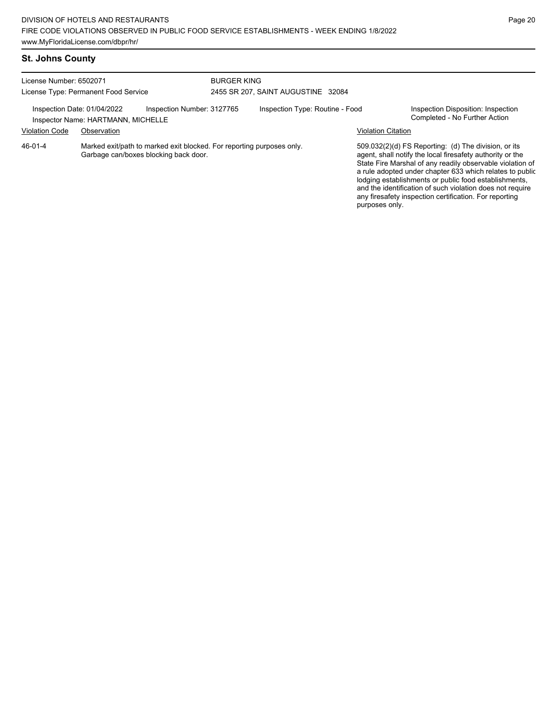| License Number: 6502071<br>License Type: Permanent Food Service |                                                                                                                |                            | <b>BURGER KING</b><br>2455 SR 207, SAINT AUGUSTINE 32084 |                                 |                                                                                                                                                                                                                                                                                                                                                                                                                                              |                                                                     |  |
|-----------------------------------------------------------------|----------------------------------------------------------------------------------------------------------------|----------------------------|----------------------------------------------------------|---------------------------------|----------------------------------------------------------------------------------------------------------------------------------------------------------------------------------------------------------------------------------------------------------------------------------------------------------------------------------------------------------------------------------------------------------------------------------------------|---------------------------------------------------------------------|--|
| Inspection Date: 01/04/2022<br><b>Violation Code</b>            | Inspector Name: HARTMANN, MICHELLE<br>Observation                                                              | Inspection Number: 3127765 |                                                          | Inspection Type: Routine - Food | <b>Violation Citation</b>                                                                                                                                                                                                                                                                                                                                                                                                                    | Inspection Disposition: Inspection<br>Completed - No Further Action |  |
| 46-01-4                                                         | Marked exit/path to marked exit blocked. For reporting purposes only.<br>Garbage can/boxes blocking back door. |                            |                                                          |                                 | 509.032(2)(d) FS Reporting: (d) The division, or its<br>agent, shall notify the local firesafety authority or the<br>State Fire Marshal of any readily observable violation of<br>a rule adopted under chapter 633 which relates to public<br>lodging establishments or public food establishments,<br>and the identification of such violation does not require<br>any firesafety inspection certification. For reporting<br>purposes only. |                                                                     |  |